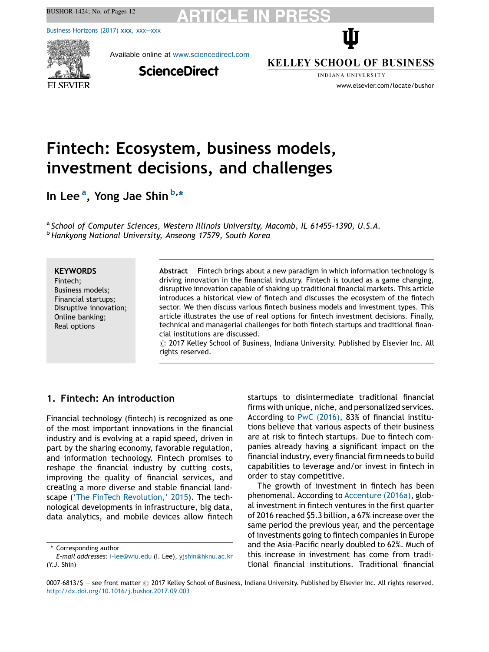BUSHOR-1424; No. of Pages 12

Business [Horizons](http://dx.doi.org/10.1016/j.bushor.2017.09.003) (2017) xxx, xxx—xxx



Available online at [www.sciencedirect.com](http://www.sciencedirect.com/science/journal/00076813)

**ScienceDirect** 

**KELLEY SCHOOL OF BUSINESS** 

Ŵ

INDIANA UNIVERSITY www.elsevier.com/locate/bushor

# Fintech: Ecosystem, business models, investment decisions, and challenges

In Lee<sup>a</sup>, Yong Jae Shin <sup>b,</sup>\*

<sup>a</sup> School of Computer Sciences, Western Illinois University, Macomb, IL 61455-1390, U.S.A. b Hankyong National University, Anseong 17579, South Korea

#### **KEYWORDS**

Fintech; Business models; Financial startups; Disruptive innovation; Online banking; Real options

Abstract Fintech brings about a new paradigm in which information technology is driving innovation in the financial industry. Fintech is touted as a game changing, disruptive innovation capable of shaking up traditional financial markets. This article introduces a historical view of fintech and discusses the ecosystem of the fintech sector. We then discuss various fintech business models and investment types. This article illustrates the use of real options for fintech investment decisions. Finally, technical and managerial challenges for both fintech startups and traditional financial institutions are discussed.

 $\odot$  2017 Kelley School of Business, Indiana University. Published by Elsevier Inc. All rights reserved.

# 1. Fintech: An introduction

Financial technology (fintech) is recognized as one of the most important innovations in the financial industry and is evolving at a rapid speed, driven in part by the sharing economy, favorable regulation, and information technology. Fintech promises to reshape the financial industry by cutting costs, improving the quality of financial services, and creating a more diverse and stable financial landscape ('The FinTech [Revolution,](#page-11-0)' 2015). The technological developments in infrastructure, big data, data analytics, and mobile devices allow fintech startups to disintermediate traditional financial firms with unique, niche, and personalized services. According to PwC [\(2016\),](#page-10-0) 83% of financial institutions believe that various aspects of their business are at risk to fintech startups. Due to fintech companies already having a significant impact on the financial industry, every financial firm needs to build capabilities to leverage and/or invest in fintech in order to stay competitive.

The growth of investment in fintech has been phenomenal. According to [Accenture](#page-10-0) (2016a), global investment in fintech ventures in the first quarter of 2016 reached \$5.3 billion, a  $67\%$  increase over the same period the previous year, and the percentage of investments going to fintech companies in Europe and the Asia-Pacific nearly doubled to 62%. Much of this increase in investment has come from traditional financial institutions. Traditional financial

<sup>\*</sup> Corresponding author

E-mail addresses: [i-lee@wiu.edu](mailto:i-lee@wiu.edu) (I. Lee), [yjshin@hknu.ac.kr](mailto:yjshin@hknu.ac.kr) (Y.J. Shin)

<sup>0007-6813/\$ -</sup> see front matter  $\odot$  2017 Kelley School of Business, Indiana University. Published by Elsevier Inc. All rights reserved. <http://dx.doi.org/10.1016/j.bushor.2017.09.003>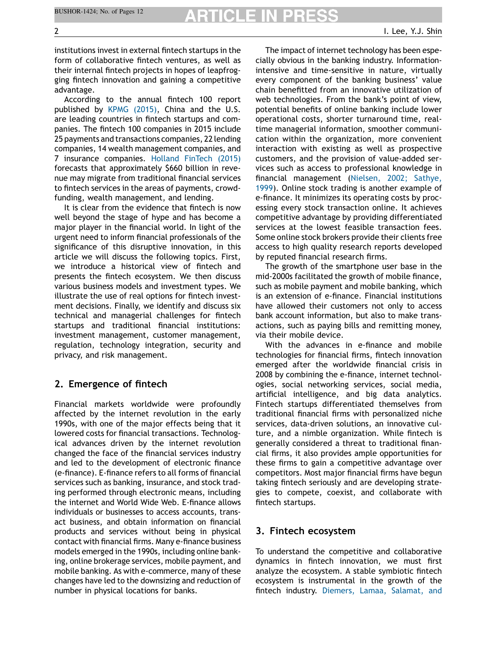# RTICLE IN

institutions invest in external fintech startups in the form of collaborative fintech ventures, as well as their internal fintech projects in hopes of leapfrogging fintech innovation and gaining a competitive advantage.

According to the annual fintech 100 report published by KPMG [\(2015\)](#page-10-0), China and the U.S. are leading countries in fintech startups and companies. The fintech 100 companies in 2015 include 25 payments and transactions companies, 22 lending companies, 14 wealth management companies, and 7 insurance companies. Holland [FinTech](#page-10-0) (2015) forecasts that approximately \$660 billion in revenue may migrate from traditional financial services to fintech services in the areas of payments, crowdfunding, wealth management, and lending.

It is clear from the evidence that fintech is now well beyond the stage of hype and has become a major player in the financial world. In light of the urgent need to inform financial professionals of the significance of this disruptive innovation, in this article we will discuss the following topics. First, we introduce a historical view of fintech and presents the fintech ecosystem. We then discuss various business models and investment types. We illustrate the use of real options for fintech investment decisions. Finally, we identify and discuss six technical and managerial challenges for fintech startups and traditional financial institutions: investment management, customer management, regulation, technology integration, security and privacy, and risk management.

# 2. Emergence of fintech

Financial markets worldwide were profoundly affected by the internet revolution in the early 1990s, with one of the major effects being that it lowered costs for financial transactions. Technological advances driven by the internet revolution changed the face of the financial services industry and led to the development of electronic finance (e-finance). E-finance refers to all forms of financial services such as banking, insurance, and stock trading performed through electronic means, including the internet and World Wide Web. E-finance allows individuals or businesses to access accounts, transact business, and obtain information on financial products and services without being in physical contact with financial firms. Many e-finance business models emerged in the 1990s, including online banking, online brokerage services, mobile payment, and mobile banking. As with e-commerce, many of these changes have led to the downsizing and reduction of number in physical locations for banks.

The impact of internet technology has been especially obvious in the banking industry. Informationintensive and time-sensitive in nature, virtually every component of the banking business' value chain benefitted from an innovative utilization of web technologies. From the bank's point of view, potential benefits of online banking include lower operational costs, shorter turnaround time, realtime managerial information, smoother communication within the organization, more convenient interaction with existing as well as prospective customers, and the provision of value-added services such as access to professional knowledge in financial management ([Nielsen,](#page-10-0) 2002; Sathye, [1999\)](#page-10-0). Online stock trading is another example of e-finance. It minimizes its operating costs by processing every stock transaction online. It achieves competitive advantage by providing differentiated services at the lowest feasible transaction fees. Some online stock brokers provide their clients free access to high quality research reports developed by reputed financial research firms.

The growth of the smartphone user base in the mid-2000s facilitated the growth of mobile finance, such as mobile payment and mobile banking, which is an extension of e-finance. Financial institutions have allowed their customers not only to access bank account information, but also to make transactions, such as paying bills and remitting money, via their mobile device.

With the advances in e-finance and mobile technologies for financial firms, fintech innovation emerged after the worldwide financial crisis in 2008 by combining the e-finance, internet technologies, social networking services, social media, artificial intelligence, and big data analytics. Fintech startups differentiated themselves from traditional financial firms with personalized niche services, data-driven solutions, an innovative culture, and a nimble organization. While fintech is generally considered a threat to traditional financial firms, it also provides ample opportunities for these firms to gain a competitive advantage over competitors. Most major financial firms have begun taking fintech seriously and are developing strategies to compete, coexist, and collaborate with fintech startups.

### 3. Fintech ecosystem

To understand the competitive and collaborative dynamics in fintech innovation, we must first analyze the ecosystem. A stable symbiotic fintech ecosystem is instrumental in the growth of the fintech industry. [Diemers,](#page-10-0) Lamaa, Salamat, and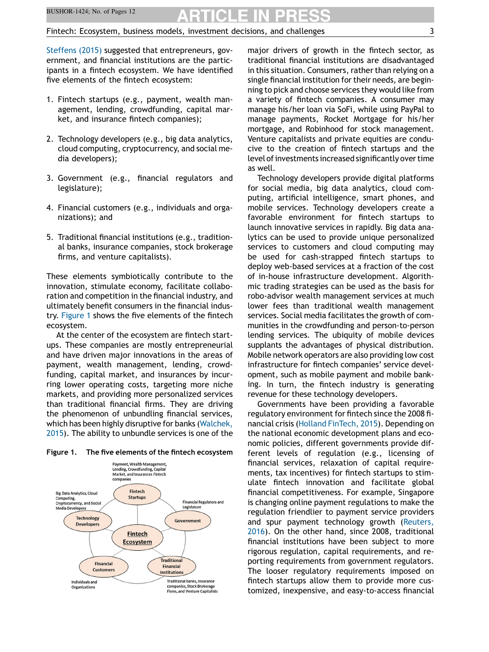[Steffens](#page-10-0) (2015) suggested that entrepreneurs, government, and financial institutions are the participants in a fintech ecosystem. We have identified five elements of the fintech ecosystem:

- 1. Fintech startups (e.g., payment, wealth management, lending, crowdfunding, capital market, and insurance fintech companies);
- 2. Technology developers (e.g., big data analytics, cloud computing, cryptocurrency, and social media developers);
- 3. Government (e.g., financial regulators and legislature);
- 4. Financial customers (e.g., individuals and organizations); and
- 5. Traditional financial institutions (e.g., traditional banks, insurance companies, stock brokerage firms, and venture capitalists).

These elements symbiotically contribute to the innovation, stimulate economy, facilitate collaboration and competition in the financial industry, and ultimately benefit consumers in the financial industry. Figure 1 shows the five elements of the fintech ecosystem.

At the center of the ecosystem are fintech startups. These companies are mostly entrepreneurial and have driven major innovations in the areas of payment, wealth management, lending, crowdfunding, capital market, and insurances by incurring lower operating costs, targeting more niche markets, and providing more personalized services than traditional financial firms. They are driving the phenomenon of unbundling financial services, which has been highly disruptive for banks ([Walchek,](#page-11-0) [2015](#page-11-0)). The ability to unbundle services is one of the



#### Figure 1. The five elements of the fintech ecosystem

major drivers of growth in the fintech sector, as traditional financial institutions are disadvantaged in this situation. Consumers, rather than relying on a single financial institution for their needs, are beginning to pick and choose services they would like from a variety of fintech companies. A consumer may manage his/her loan via SoFi, while using PayPal to manage payments, Rocket Mortgage for his/her mortgage, and Robinhood for stock management. Venture capitalists and private equities are conducive to the creation of fintech startups and the level of investments increased significantly over time as well.

Technology developers provide digital platforms for social media, big data analytics, cloud computing, artificial intelligence, smart phones, and mobile services. Technology developers create a favorable environment for fintech startups to launch innovative services in rapidly. Big data analytics can be used to provide unique personalized services to customers and cloud computing may be used for cash-strapped fintech startups to deploy web-based services at a fraction of the cost of in-house infrastructure development. Algorithmic trading strategies can be used as the basis for robo-advisor wealth management services at much lower fees than traditional wealth management services. Social media facilitates the growth of communities in the crowdfunding and person-to-person lending services. The ubiquity of mobile devices supplants the advantages of physical distribution. Mobile network operators are also providing low cost infrastructure for fintech companies' service development, such as mobile payment and mobile banking. In turn, the fintech industry is generating revenue for these technology developers.

Governments have been providing a favorable regulatory environment for fintech since the 2008 financial crisis (Holland [FinTech,](#page-10-0) 2015). Depending on the national economic development plans and economic policies, different governments provide different levels of regulation (e.g., licensing of financial services, relaxation of capital requirements, tax incentives) for fintech startups to stimulate fintech innovation and facilitate global financial competitiveness. For example, Singapore is changing online payment regulations to make the regulation friendlier to payment service providers and spur payment technology growth ([Reuters,](#page-10-0) [2016\)](#page-10-0). On the other hand, since 2008, traditional financial institutions have been subject to more rigorous regulation, capital requirements, and reporting requirements from government regulators. The looser regulatory requirements imposed on fintech startups allow them to provide more customized, inexpensive, and easy-to-access financial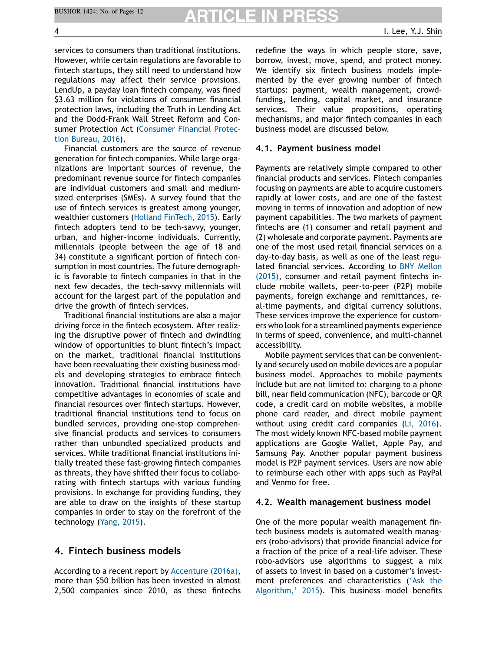services to consumers than traditional institutions. However, while certain regulations are favorable to fintech startups, they still need to understand how regulations may affect their service provisions. LendUp, a payday loan fintech company, was fined \$3.63 million for violations of consumer financial protection laws, including the Truth in Lending Act and the Dodd-Frank Wall Street Reform and Consumer Protection Act ([Consumer](#page-10-0) Financial Protection [Bureau,](#page-10-0) 2016).

Financial customers are the source of revenue generation for fintech companies. While large organizations are important sources of revenue, the predominant revenue source for fintech companies are individual customers and small and mediumsized enterprises (SMEs). A survey found that the use of fintech services is greatest among younger, wealthier customers (Holland [FinTech,](#page-10-0) 2015). Early fintech adopters tend to be tech-savvy, younger, urban, and higher-income individuals. Currently, millennials (people between the age of 18 and 34) constitute a significant portion of fintech consumption in most countries. The future demographic is favorable to fintech companies in that in the next few decades, the tech-savvy millennials will account for the largest part of the population and drive the growth of fintech services.

Traditional financial institutions are also a major driving force in the fintech ecosystem. After realizing the disruptive power of fintech and dwindling window of opportunities to blunt fintech's impact on the market, traditional financial institutions have been reevaluating their existing business models and developing strategies to embrace fintech innovation. Traditional financial institutions have competitive advantages in economies of scale and financial resources over fintech startups. However, traditional financial institutions tend to focus on bundled services, providing one-stop comprehensive financial products and services to consumers rather than unbundled specialized products and services. While traditional financial institutions initially treated these fast-growing fintech companies as threats, they have shifted their focus to collaborating with fintech startups with various funding provisions. In exchange for providing funding, they are able to draw on the insights of these startup companies in order to stay on the forefront of the technology [\(Yang,](#page-11-0) 2015).

# 4. Fintech business models

According to a recent report by [Accenture](#page-10-0) (2016a), more than \$50 billion has been invested in almost 2,500 companies since 2010, as these fintechs redefine the ways in which people store, save, borrow, invest, move, spend, and protect money. We identify six fintech business models implemented by the ever growing number of fintech startups: payment, wealth management, crowdfunding, lending, capital market, and insurance services. Their value propositions, operating mechanisms, and major fintech companies in each business model are discussed below.

### 4.1. Payment business model

Payments are relatively simple compared to other financial products and services. Fintech companies focusing on payments are able to acquire customers rapidly at lower costs, and are one of the fastest moving in terms of innovation and adoption of new payment capabilities. The two markets of payment fintechs are (1) consumer and retail payment and (2) wholesale and corporate payment. Payments are one of the most used retail financial services on a day-to-day basis, as well as one of the least regulated financial services. According to BNY [Mellon](#page-10-0) [\(2015\),](#page-10-0) consumer and retail payment fintechs include mobile wallets, peer-to-peer (P2P) mobile payments, foreign exchange and remittances, real-time payments, and digital currency solutions. These services improve the experience for customers who look for a streamlined payments experience in terms of speed, convenience, and multi-channel accessibility.

Mobile payment services that can be conveniently and securely used on mobile devices are a popular business model. Approaches to mobile payments include but are not limited to: charging to a phone bill, near field communication (NFC), barcode or QR code, a credit card on mobile websites, a mobile phone card reader, and direct mobile payment without using credit card companies (Li, [2016](#page-10-0)). The most widely known NFC-based mobile payment applications are Google Wallet, Apple Pay, and Samsung Pay. Another popular payment business model is P2P payment services. Users are now able to reimburse each other with apps such as PayPal and Venmo for free.

### 4.2. Wealth management business model

One of the more popular wealth management fintech business models is automated wealth managers (robo-advisors) that provide financial advice for a fraction of the price of a real-life adviser. These robo-advisors use algorithms to suggest a mix of assets to invest in based on a customer's investment preferences and characteristics ('[Ask](#page-10-0) the [Algorithm,](#page-10-0)' 2015). This business model benefits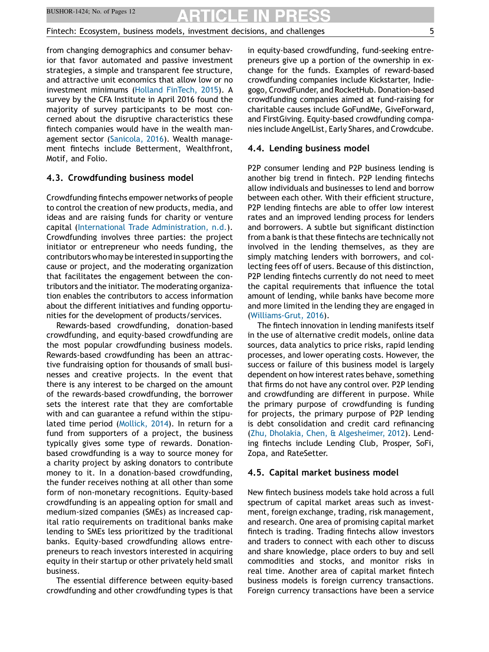from changing demographics and consumer behavior that favor automated and passive investment strategies, a simple and transparent fee structure, and attractive unit economics that allow low or no investment minimums (Holland [FinTech,](#page-10-0) 2015). A survey by the CFA Institute in April 2016 found the majority of survey participants to be most concerned about the disruptive characteristics these fintech companies would have in the wealth management sector [\(Sanicola,](#page-11-0) 2016). Wealth management fintechs include Betterment, Wealthfront, Motif, and Folio.

### 4.3. Crowdfunding business model

Crowdfunding fintechs empower networks of people to control the creation of new products, media, and ideas and are raising funds for charity or venture capital (International Trade [Administration,](#page-10-0) n.d.). Crowdfunding involves three parties: the project initiator or entrepreneur who needs funding, the contributors who may be interested in supporting the cause or project, and the moderating organization that facilitates the engagement between the contributors and the initiator. The moderating organization enables the contributors to access information about the different initiatives and funding opportunities for the development of products/services.

Rewards-based crowdfunding, donation-based crowdfunding, and equity-based crowdfunding are the most popular crowdfunding business models. Rewards-based crowdfunding has been an attractive fundraising option for thousands of small businesses and creative projects. In the event that there is any interest to be charged on the amount of the rewards-based crowdfunding, the borrower sets the interest rate that they are comfortable with and can guarantee a refund within the stipulated time period [\(Mollick,](#page-10-0) 2014). In return for a fund from supporters of a project, the business typically gives some type of rewards. Donationbased crowdfunding is a way to source money for a charity project by asking donators to contribute money to it. In a donation-based crowdfunding, the funder receives nothing at all other than some form of non-monetary recognitions. Equity-based crowdfunding is an appealing option for small and medium-sized companies (SMEs) as increased capital ratio requirements on traditional banks make lending to SMEs less prioritized by the traditional banks. Equity-based crowdfunding allows entrepreneurs to reach investors interested in acquiring equity in their startup or other privately held small business.

The essential difference between equity-based crowdfunding and other crowdfunding types is that in equity-based crowdfunding, fund-seeking entrepreneurs give up a portion of the ownership in exchange for the funds. Examples of reward-based crowdfunding companies include Kickstarter, Indiegogo, CrowdFunder, and RocketHub. Donation-based crowdfunding companies aimed at fund-raising for charitable causes include GoFundMe, GiveForward, and FirstGiving. Equity-based crowdfunding companies include AngelList, Early Shares, and Crowdcube.

#### 4.4. Lending business model

P2P consumer lending and P2P business lending is another big trend in fintech. P2P lending fintechs allow individuals and businesses to lend and borrow between each other. With their efficient structure, P2P lending fintechs are able to offer low interest rates and an improved lending process for lenders and borrowers. A subtle but significant distinction from a bank is that these fintechs are technically not involved in the lending themselves, as they are simply matching lenders with borrowers, and collecting fees off of users. Because of this distinction, P2P lending fintechs currently do not need to meet the capital requirements that influence the total amount of lending, while banks have become more and more limited in the lending they are engaged in [\(Williams-Grut,](#page-11-0) 2016).

The fintech innovation in lending manifests itself in the use of alternative credit models, online data sources, data analytics to price risks, rapid lending processes, and lower operating costs. However, the success or failure of this business model is largely dependent on how interest rates behave, something that firms do not have any control over. P2P lending and crowdfunding are different in purpose. While the primary purpose of crowdfunding is funding for projects, the primary purpose of P2P lending is debt consolidation and credit card refinancing (Zhu, Dholakia, Chen, & [Algesheimer,](#page-11-0) 2012). Lending fintechs include Lending Club, Prosper, SoFi, Zopa, and RateSetter.

#### 4.5. Capital market business model

New fintech business models take hold across a full spectrum of capital market areas such as investment, foreign exchange, trading, risk management, and research. One area of promising capital market fintech is trading. Trading fintechs allow investors and traders to connect with each other to discuss and share knowledge, place orders to buy and sell commodities and stocks, and monitor risks in real time. Another area of capital market fintech business models is foreign currency transactions. Foreign currency transactions have been a service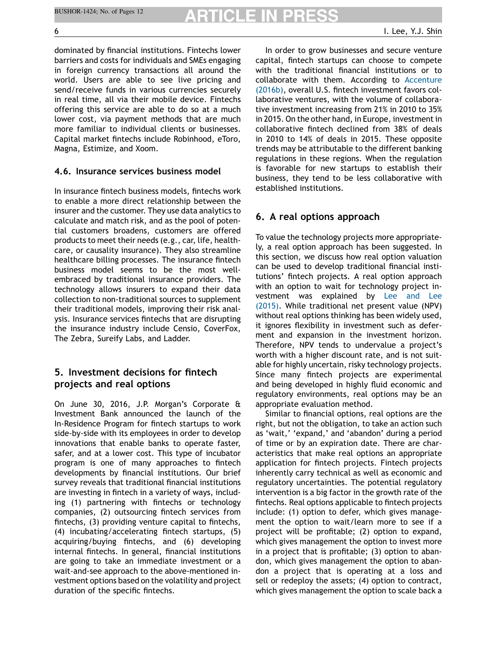dominated by financial institutions. Fintechs lower barriers and costs for individuals and SMEs engaging in foreign currency transactions all around the world. Users are able to see live pricing and send/receive funds in various currencies securely in real time, all via their mobile device. Fintechs offering this service are able to do so at a much lower cost, via payment methods that are much more familiar to individual clients or businesses. Capital market fintechs include Robinhood, eToro, Magna, Estimize, and Xoom.

### 4.6. Insurance services business model

In insurance fintech business models, fintechs work to enable a more direct relationship between the insurer and the customer. They use data analytics to calculate and match risk, and as the pool of potential customers broadens, customers are offered products to meet their needs (e.g., car, life, healthcare, or causality insurance). They also streamline healthcare billing processes. The insurance fintech business model seems to be the most wellembraced by traditional insurance providers. The technology allows insurers to expand their data collection to non-traditional sources to supplement their traditional models, improving their risk analysis. Insurance services fintechs that are disrupting the insurance industry include Censio, CoverFox, The Zebra, Sureify Labs, and Ladder.

# 5. Investment decisions for fintech projects and real options

On June 30, 2016, J.P. Morgan's Corporate & Investment Bank announced the launch of the In-Residence Program for fintech startups to work side-by-side with its employees in order to develop innovations that enable banks to operate faster, safer, and at a lower cost. This type of incubator program is one of many approaches to fintech developments by financial institutions. Our brief survey reveals that traditional financial institutions are investing in fintech in a variety of ways, including (1) partnering with fintechs or technology companies, (2) outsourcing fintech services from fintechs, (3) providing venture capital to fintechs, (4) incubating/accelerating fintech startups, (5) acquiring/buying fintechs, and (6) developing internal fintechs. In general, financial institutions are going to take an immediate investment or a wait-and-see approach to the above-mentioned investment options based on the volatility and project duration of the specific fintechs.

In order to grow businesses and secure venture capital, fintech startups can choose to compete with the traditional financial institutions or to collaborate with them. According to [Accenture](#page-10-0) [\(2016b\)](#page-10-0), overall U.S. fintech investment favors collaborative ventures, with the volume of collaborative investment increasing from 21% in 2010 to 35% in 2015. On the other hand, in Europe, investment in collaborative fintech declined from 38% of deals in 2010 to 14% of deals in 2015. These opposite trends may be attributable to the different banking regulations in these regions. When the regulation is favorable for new startups to establish their business, they tend to be less collaborative with established institutions.

# 6. A real options approach

To value the technology projects more appropriately, a real option approach has been suggested. In this section, we discuss how real option valuation can be used to develop traditional financial institutions' fintech projects. A real option approach with an option to wait for technology project investment was explained by Lee [and](#page-10-0) Lee [\(2015\).](#page-10-0) While traditional net present value (NPV) without real options thinking has been widely used, it ignores flexibility in investment such as deferment and expansion in the investment horizon. Therefore, NPV tends to undervalue a project's worth with a higher discount rate, and is not suitable for highly uncertain, risky technology projects. Since many fintech projects are experimental and being developed in highly fluid economic and regulatory environments, real options may be an appropriate evaluation method.

Similar to financial options, real options are the right, but not the obligation, to take an action such as 'wait,' 'expand,' and 'abandon' during a period of time or by an expiration date. There are characteristics that make real options an appropriate application for fintech projects. Fintech projects inherently carry technical as well as economic and regulatory uncertainties. The potential regulatory intervention is a big factor in the growth rate of the fintechs. Real options applicable to fintech projects include: (1) option to defer, which gives management the option to wait/learn more to see if a project will be profitable; (2) option to expand, which gives management the option to invest more in a project that is profitable; (3) option to abandon, which gives management the option to abandon a project that is operating at a loss and sell or redeploy the assets; (4) option to contract, which gives management the option to scale back a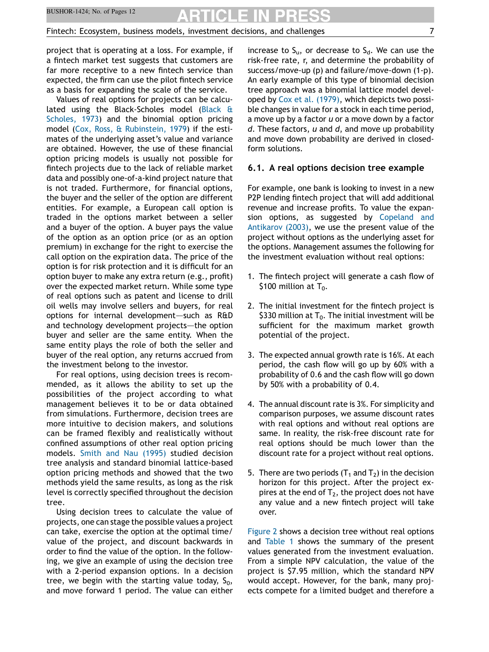project that is operating at a loss. For example, if a fintech market test suggests that customers are far more receptive to a new fintech service than expected, the firm can use the pilot fintech service as a basis for expanding the scale of the service.

Values of real options for projects can be calculated using the Black-Scholes model ([Black](#page-10-0) & [Scholes,](#page-10-0) 1973) and the binomial option pricing model (Cox, Ross, & [Rubinstein,](#page-10-0) 1979) if the estimates of the underlying asset's value and variance are obtained. However, the use of these financial option pricing models is usually not possible for fintech projects due to the lack of reliable market data and possibly one-of-a-kind project nature that is not traded. Furthermore, for financial options, the buyer and the seller of the option are different entities. For example, a European call option is traded in the options market between a seller and a buyer of the option. A buyer pays the value of the option as an option price (or as an option premium) in exchange for the right to exercise the call option on the expiration data. The price of the option is for risk protection and it is difficult for an option buyer to make any extra return (e.g., profit) over the expected market return. While some type of real options such as patent and license to drill oil wells may involve sellers and buyers, for real options for internal development–—such as R&D and technology development projects—the option buyer and seller are the same entity. When the same entity plays the role of both the seller and buyer of the real option, any returns accrued from the investment belong to the investor.

For real options, using decision trees is recommended, as it allows the ability to set up the possibilities of the project according to what management believes it to be or data obtained from simulations. Furthermore, decision trees are more intuitive to decision makers, and solutions can be framed flexibly and realistically without confined assumptions of other real option pricing models. Smith and Nau [\(1995\)](#page-11-0) studied decision tree analysis and standard binomial lattice-based option pricing methods and showed that the two methods yield the same results, as long as the risk level is correctly specified throughout the decision tree.

Using decision trees to calculate the value of projects, one can stage the possible values a project can take, exercise the option at the optimal time/ value of the project, and discount backwards in order to find the value of the option. In the following, we give an example of using the decision tree with a 2-period expansion options. In a decision tree, we begin with the starting value today,  $S_0$ , and move forward 1 period. The value can either increase to  $S_u$ , or decrease to  $S_d$ . We can use the risk-free rate, r, and determine the probability of success/move-up (p) and failure/move-down (1-p). An early example of this type of binomial decision tree approach was a binomial lattice model developed by Cox et al. [\(1979\),](#page-10-0) which depicts two possible changes in value for a stock in each time period, a move up by a factor u or a move down by a factor  $d.$  These factors,  $u$  and  $d,$  and move up probability and move down probability are derived in closedform solutions.

#### 6.1. A real options decision tree example

For example, one bank is looking to invest in a new P2P lending fintech project that will add additional revenue and increase profits. To value the expansion options, as suggested by [Copeland](#page-10-0) and [Antikarov](#page-10-0) (2003), we use the present value of the project without options as the underlying asset for the options. Management assumes the following for the investment evaluation without real options:

- 1. The fintech project will generate a cash flow of \$100 million at  $T_0$ .
- 2. The initial investment for the fintech project is \$330 million at  $T_0$ . The initial investment will be sufficient for the maximum market growth potential of the project.
- 3. The expected annual growth rate is 16%. At each period, the cash flow will go up by 60% with a probability of 0.6 and the cash flow will go down by 50% with a probability of 0.4.
- 4. The annual discount rate is 3%. For simplicity and comparison purposes, we assume discount rates with real options and without real options are same. In reality, the risk-free discount rate for real options should be much lower than the discount rate for a project without real options.
- 5. There are two periods  $(T_1$  and  $T_2$ ) in the decision horizon for this project. After the project expires at the end of  $T_2$ , the project does not have any value and a new fintech project will take over.

[Figure](#page-7-0) 2 shows a decision tree without real options and [Table](#page-7-0) 1 shows the summary of the present values generated from the investment evaluation. From a simple NPV calculation, the value of the project is \$7.95 million, which the standard NPV would accept. However, for the bank, many projects compete for a limited budget and therefore a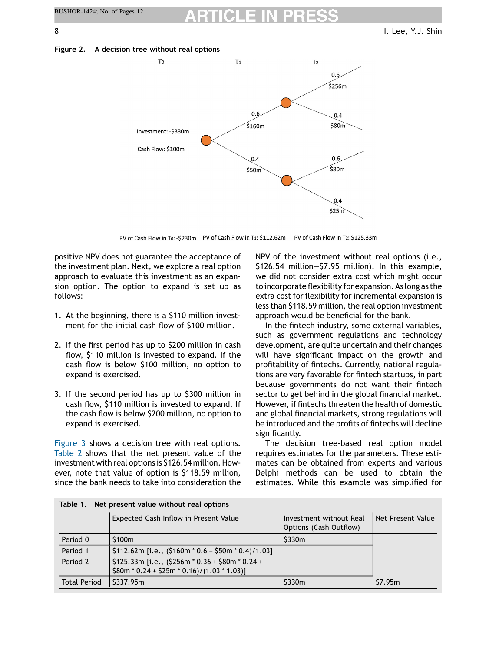<span id="page-7-0"></span>Figure 2. A decision tree without real options



PV of Cash Flow in To: -\$230m PV of Cash Flow in T1: \$112.62m PV of Cash Flow in T2: \$125.33m

positive NPV does not guarantee the acceptance of the investment plan. Next, we explore a real option approach to evaluate this investment as an expansion option. The option to expand is set up as follows:

- 1. At the beginning, there is a \$110 million investment for the initial cash flow of \$100 million.
- 2. If the first period has up to \$200 million in cash flow, \$110 million is invested to expand. If the cash flow is below \$100 million, no option to expand is exercised.
- 3. If the second period has up to \$300 million in cash flow, \$110 million is invested to expand. If the cash flow is below \$200 million, no option to expand is exercised.

[Figure](#page-8-0) 3 shows a decision tree with real options. [Table](#page-8-0) 2 shows that the net present value of the investment with real options is \$126.54 million. However, note that value of option is \$118.59 million, since the bank needs to take into consideration the NPV of the investment without real options (i.e., \$126.54 million—\$7.95 million). In this example, we did not consider extra cost which might occur to incorporate flexibility for expansion. As long as the extra cost for flexibility for incremental expansion is less than \$118.59 million, the real option investment approach would be beneficial for the bank.

In the fintech industry, some external variables, such as government regulations and technology development, are quite uncertain and their changes will have significant impact on the growth and profitability of fintechs. Currently, national regulations are very favorable for fintech startups, in part because governments do not want their fintech sector to get behind in the global financial market. However, if fintechs threaten the health of domestic and global financial markets, strong regulations will be introduced and the profits of fintechs will decline significantly.

The decision tree-based real option model requires estimates for the parameters. These estimates can be obtained from experts and various Delphi methods can be used to obtain the estimates. While this example was simplified for

|                     | Expected Cash Inflow in Present Value                                                            | Investment without Real<br>Options (Cash Outflow) | Net Present Value |  |
|---------------------|--------------------------------------------------------------------------------------------------|---------------------------------------------------|-------------------|--|
| Period 0            | \$100m                                                                                           | \$330m                                            |                   |  |
| Period 1            | $\frac{1}{2}112.62m$ [i.e., (\$160m * 0.6 + \$50m * 0.4)/1.03]                                   |                                                   |                   |  |
| Period 2            | $$125.33m$ [i.e., (\$256m * 0.36 + \$80m * 0.24 +<br>$$80m * 0.24 + $25m * 0.16$ /(1.03 * 1.03)] |                                                   |                   |  |
| <b>Total Period</b> | \$337.95m                                                                                        | \$330m                                            | \$7.95m           |  |

Table 1. Net present value without real options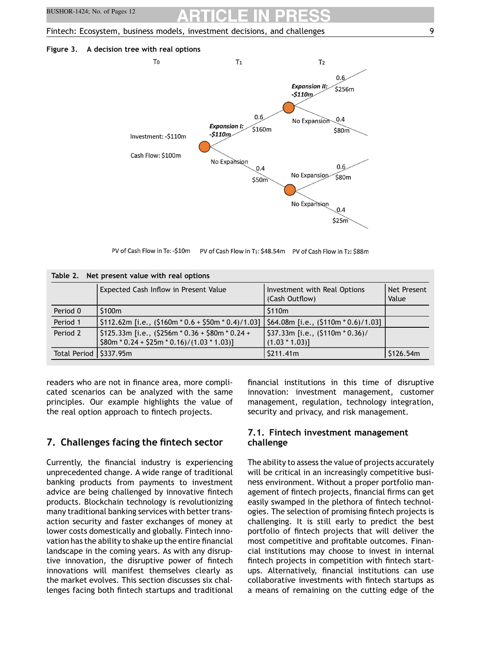#### <span id="page-8-0"></span>Figure 3. A decision tree with real options



PV of Cash Flow in To: -\$10m PV of Cash Flow in T1: \$48.54m PV of Cash Flow in T2: \$88m

| Table 2. Net present value with real options |                                                                                                                   |                                                       |                      |  |
|----------------------------------------------|-------------------------------------------------------------------------------------------------------------------|-------------------------------------------------------|----------------------|--|
|                                              | Expected Cash Inflow in Present Value                                                                             | Investment with Real Options<br>(Cash Outflow)        | Net Present<br>Value |  |
| Period 0                                     | \$100m                                                                                                            | \$110m                                                |                      |  |
| Period 1                                     | $\left[ \frac{5112.62m}{1. e} \right]$ [i.e., (\$160m * 0.6 + \$50m * 0.4)/1.03]                                  | \$64.08m [i.e., $(5110m * 0.6)/1.03$ ]                |                      |  |
| Period 2                                     | $\frac{1}{2}$ \$125.33m [i.e., (\$256m * 0.36 + \$80m * 0.24 +<br>$$80m * 0.24 + $25m * 0.16}$ / $(1.03 * 1.03)]$ | $$37.33m$ [i.e., $$110m * 0.36$ )<br>$(1.03 * 1.03)]$ |                      |  |
| Total Period   \$337.95m                     |                                                                                                                   | \$211.41m                                             | \$126.54m            |  |

readers who are not in finance area, more complicated scenarios can be analyzed with the same principles. Our example highlights the value of the real option approach to fintech projects.

# 7. Challenges facing the fintech sector

Currently, the financial industry is experiencing unprecedented change. A wide range of traditional banking products from payments to investment advice are being challenged by innovative fintech products. Blockchain technology is revolutionizing many traditional banking services with better transaction security and faster exchanges of money at lower costs domestically and globally. Fintech innovation has the ability to shake up the entire financial landscape in the coming years. As with any disruptive innovation, the disruptive power of fintech innovations will manifest themselves clearly as the market evolves. This section discusses six challenges facing both fintech startups and traditional financial institutions in this time of disruptive innovation: investment management, customer management, regulation, technology integration, security and privacy, and risk management.

# 7.1. Fintech investment management challenge

The ability to assess the value of projects accurately will be critical in an increasingly competitive business environment. Without a proper portfolio management of fintech projects, financial firms can get easily swamped in the plethora of fintech technologies. The selection of promising fintech projects is challenging. It is still early to predict the best portfolio of fintech projects that will deliver the most competitive and profitable outcomes. Financial institutions may choose to invest in internal fintech projects in competition with fintech startups. Alternatively, financial institutions can use collaborative investments with fintech startups as a means of remaining on the cutting edge of the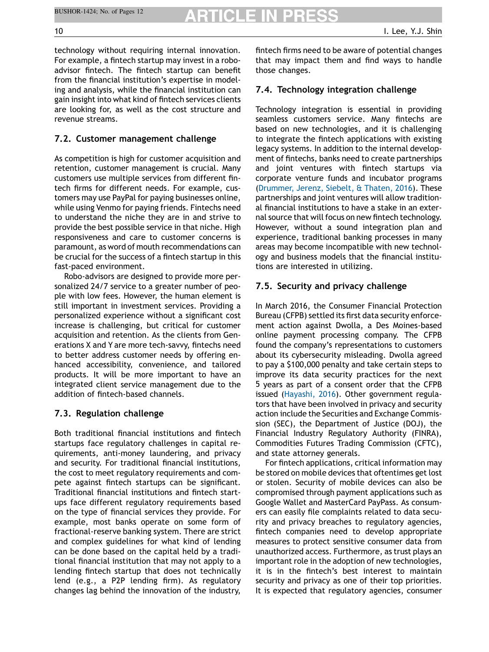$\mathcal{B}(\mathcal{A})$ 

technology without requiring internal innovation. For example, a fintech startup may invest in a roboadvisor fintech. The fintech startup can benefit from the financial institution's expertise in modeling and analysis, while the financial institution can gain insight into what kind of fintech services clients are looking for, as well as the cost structure and revenue streams.

# 7.2. Customer management challenge

As competition is high for customer acquisition and retention, customer management is crucial. Many customers use multiple services from different fintech firms for different needs. For example, customers may use PayPal for paying businesses online, while using Venmo for paying friends. Fintechs need to understand the niche they are in and strive to provide the best possible service in that niche. High responsiveness and care to customer concerns is paramount, as word of mouth recommendations can be crucial for the success of a fintech startup in this fast-paced environment.

Robo-advisors are designed to provide more personalized 24/7 service to a greater number of people with low fees. However, the human element is still important in investment services. Providing a personalized experience without a significant cost increase is challenging, but critical for customer acquisition and retention. As the clients from Generations X and Y are more tech-savvy, fintechs need to better address customer needs by offering enhanced accessibility, convenience, and tailored products. It will be more important to have an integrated client service management due to the addition of fintech-based channels.

# 7.3. Regulation challenge

Both traditional financial institutions and fintech startups face regulatory challenges in capital requirements, anti-money laundering, and privacy and security. For traditional financial institutions, the cost to meet regulatory requirements and compete against fintech startups can be significant. Traditional financial institutions and fintech startups face different regulatory requirements based on the type of financial services they provide. For example, most banks operate on some form of fractional-reserve banking system. There are strict and complex guidelines for what kind of lending can be done based on the capital held by a traditional financial institution that may not apply to a lending fintech startup that does not technically lend (e.g., a P2P lending firm). As regulatory changes lag behind the innovation of the industry,

fintech firms need to be aware of potential changes that may impact them and find ways to handle those changes.

# 7.4. Technology integration challenge

Technology integration is essential in providing seamless customers service. Many fintechs are based on new technologies, and it is challenging to integrate the fintech applications with existing legacy systems. In addition to the internal development of fintechs, banks need to create partnerships and joint ventures with fintech startups via corporate venture funds and incubator programs [\(Drummer,](#page-10-0) Jerenz, Siebelt, & Thaten, 2016). These partnerships and joint ventures will allow traditional financial institutions to have a stake in an external source that will focus on new fintech technology. However, without a sound integration plan and experience, traditional banking processes in many areas may become incompatible with new technology and business models that the financial institutions are interested in utilizing.

# 7.5. Security and privacy challenge

In March 2016, the Consumer Financial Protection Bureau (CFPB) settled its first data security enforcement action against Dwolla, a Des Moines-based online payment processing company. The CFPB found the company's representations to customers about its cybersecurity misleading. Dwolla agreed to pay a \$100,000 penalty and take certain steps to improve its data security practices for the next 5 years as part of a consent order that the CFPB issued [\(Hayashi,](#page-10-0) 2016). Other government regulators that have been involved in privacy and security action include the Securities and Exchange Commission (SEC), the Department of Justice (DOJ), the Financial Industry Regulatory Authority (FINRA), Commodities Futures Trading Commission (CFTC), and state attorney generals.

For fintech applications, critical information may be stored on mobile devices that oftentimes get lost or stolen. Security of mobile devices can also be compromised through payment applications such as Google Wallet and MasterCard PayPass. As consumers can easily file complaints related to data security and privacy breaches to regulatory agencies, fintech companies need to develop appropriate measures to protect sensitive consumer data from unauthorized access. Furthermore, as trust plays an important role in the adoption of new technologies, it is in the fintech's best interest to maintain security and privacy as one of their top priorities. It is expected that regulatory agencies, consumer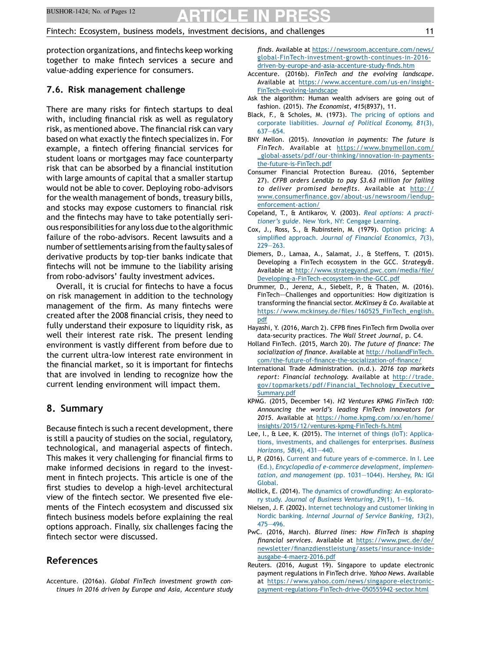<span id="page-10-0"></span>protection organizations, and fintechs keep working together to make fintech services a secure and value-adding experience for consumers.

# 7.6. Risk management challenge

There are many risks for fintech startups to deal with, including financial risk as well as regulatory risk, as mentioned above. The financial risk can vary based on what exactly the fintech specializes in. For example, a fintech offering financial services for student loans or mortgages may face counterparty risk that can be absorbed by a financial institution with large amounts of capital that a smaller startup would not be able to cover. Deploying robo-advisors for the wealth management of bonds, treasury bills, and stocks may expose customers to financial risk and the fintechs may have to take potentially serious responsibilities for any loss due to thealgorithmic failure of the robo-advisors. Recent lawsuits and a number of settlements arising fromthe faulty salesof derivative products by top-tier banks indicate that fintechs will not be immune to the liability arising from robo-advisors' faulty investment advices.

Overall, it is crucial for fintechs to have a focus on risk management in addition to the technology management of the firm. As many fintechs were created after the 2008 financial crisis, they need to fully understand their exposure to liquidity risk, as well their interest rate risk. The present lending environment is vastly different from before due to the current ultra-low interest rate environment in the financial market, so it is important for fintechs that are involved in lending to recognize how the current lending environment will impact them.

# 8. Summary

Because fintech is such a recent development, there is still a paucity of studies on the social, regulatory, technological, and managerial aspects of fintech. This makes it very challenging for financial firms to make informed decisions in regard to the investment in fintech projects. This article is one of the first studies to develop a high-level architectural view of the fintech sector. We presented five elements of the Fintech ecosystem and discussed six fintech business models before explaining the real options approach. Finally, six challenges facing the fintech sector were discussed.

# References

Accenture. (2016a). Global FinTech investment growth continues in 2016 driven by Europe and Asia, Accenture study finds. Available at [https://newsroom.accenture.com/news/](https://newsroom.accenture.com/news/global-FinTech-investment-growth-continues-in-2016-driven-by-europe-and-asia-accenture-study-finds.htm) [global-FinTech-investment-growth-continues-in-2016](https://newsroom.accenture.com/news/global-FinTech-investment-growth-continues-in-2016-driven-by-europe-and-asia-accenture-study-finds.htm) [driven-by-europe-and-asia-accenture-study-](https://newsroom.accenture.com/news/global-FinTech-investment-growth-continues-in-2016-driven-by-europe-and-asia-accenture-study-finds.htm)finds.htm

- Accenture. (2016b). FinTech and the evolving landscape. Available at [https://www.accenture.com/us-en/insight-](https://www.accenture.com/us-en/insight-FinTech-evolving-landscape)[FinTech-evolving-landscape](https://www.accenture.com/us-en/insight-FinTech-evolving-landscape)
- Ask the algorithm: Human wealth advisers are going out of fashion. (2015). The Economist, 415(8937), 11.
- Black, F., & Scholes, M. (1973). The pricing of [options](http://refhub.elsevier.com/S0007-6813(17)30124-6/sbref0020) and corporate [liabilities.](http://refhub.elsevier.com/S0007-6813(17)30124-6/sbref0020) Journal of Political Economy, 81(3), 637—[654.](http://refhub.elsevier.com/S0007-6813(17)30124-6/sbref0020)
- BNY Mellon. (2015). Innovation in payments: The future is FinTech. Available at [https://www.bnymellon.com/](https://www.bnymellon.com/_global-assets/pdf/our-thinking/innovation-in-payments-the-future-is-FinTech.pdf) [\\_global-assets/pdf/our-thinking/innovation-in-payments](https://www.bnymellon.com/_global-assets/pdf/our-thinking/innovation-in-payments-the-future-is-FinTech.pdf)[the-future-is-FinTech.pdf](https://www.bnymellon.com/_global-assets/pdf/our-thinking/innovation-in-payments-the-future-is-FinTech.pdf)
- Consumer Financial Protection Bureau. (2016, September 27). CFPB orders LendUp to pay \$3.63 million for failing to deliver promised benefits. Available at [http://](http://www.consumerfinance.gov/about-us/newsroom/lendup-enforcement-action/) www.consumerfi[nance.gov/about-us/newsroom/lendup](http://www.consumerfinance.gov/about-us/newsroom/lendup-enforcement-action/)[enforcement-action/](http://www.consumerfinance.gov/about-us/newsroom/lendup-enforcement-action/)
- Copeland, T., & Antikarov, V. (2003). Real [options:](http://refhub.elsevier.com/S0007-6813(17)30124-6/sbref0035) A practitioner's guide. New York, NY: Cengage [Learning.](http://refhub.elsevier.com/S0007-6813(17)30124-6/sbref0035)
- Cox, J., Ross, S., & Rubinstein, M. (1979). Option [pricing:](http://refhub.elsevier.com/S0007-6813(17)30124-6/sbref0040) A simplified approach. Journal of Financial [Economics,](http://refhub.elsevier.com/S0007-6813(17)30124-6/sbref0040) 7(3), 229—[263.](http://refhub.elsevier.com/S0007-6813(17)30124-6/sbref0040)
- Diemers, D., Lamaa, A., Salamat, J., & Steffens, T. (2015). Developing a FinTech ecosystem in the GCC. Strategy&. Available at [http://www.strategyand.pwc.com/media/](http://www.strategyand.pwc.com/media/file/Developing-a-FinTech-ecosystem-in-the-GCC.pdf)file/ [Developing-a-FinTech-ecosystem-in-the-GCC.pdf](http://www.strategyand.pwc.com/media/file/Developing-a-FinTech-ecosystem-in-the-GCC.pdf)
- Drummer, D., Jerenz, A., Siebelt, P., & Thaten, M. (2016). FinTech–—Challenges and opportunities: How digitization is transforming the financial sector. McKinsey & Co. Available at https://www.mckinsey.de/fi[les/160525\\_FinTech\\_english.](https://www.mckinsey.de/files/160525_FinTech_english.pdf) [pdf](https://www.mckinsey.de/files/160525_FinTech_english.pdf)
- Hayashi, Y. (2016, March 2). CFPB fines FinTech firm Dwolla over data-security practices. The Wall Street Journal, p. C4.
- Holland FinTech. (2015, March 20). The future of finance: The socialization of finance. Available at [http://hollandFinTech.](http://hollandFinTech.com/the-future-of-finance-the-socialization-of-finance/) com/the-future-of-fi[nance-the-socialization-of-](http://hollandFinTech.com/the-future-of-finance-the-socialization-of-finance/)finance/
- International Trade Administration. (n.d.). 2016 top markets report: Financial technology. Available at [http://trade.](http://trade.gov/topmarkets/pdf/Financial_Technology_Executive_Summary.pdf) [gov/topmarkets/pdf/Financial\\_Technology\\_Executive\\_](http://trade.gov/topmarkets/pdf/Financial_Technology_Executive_Summary.pdf) [Summary.pdf](http://trade.gov/topmarkets/pdf/Financial_Technology_Executive_Summary.pdf)
- KPMG. (2015, December 14). H2 Ventures KPMG FinTech 100: Announcing the world's leading FinTech innovators for 2015. Available at [https://home.kpmg.com/xx/en/home/](https://home.kpmg.com/xx/en/home/insights/2015/12/ventures-kpmg-FinTech-fs.html) [insights/2015/12/ventures-kpmg-FinTech-fs.html](https://home.kpmg.com/xx/en/home/insights/2015/12/ventures-kpmg-FinTech-fs.html)
- Lee, I., & Lee, K. (2015). The internet of things (IoT): [Applica](http://refhub.elsevier.com/S0007-6813(17)30124-6/sbref0075)tions, [investments,](http://refhub.elsevier.com/S0007-6813(17)30124-6/sbref0075) and challenges for enterprises. Business [Horizons,](http://refhub.elsevier.com/S0007-6813(17)30124-6/sbref0075) 58(4), 431—440.
- Li, P. (2016). Current and future years of [e-commerce.](http://refhub.elsevier.com/S0007-6813(17)30124-6/sbref0080) In I. Lee (Ed.), Encyclopedia of e-commerce [development,](http://refhub.elsevier.com/S0007-6813(17)30124-6/sbref0080) implementation, and [management](http://refhub.elsevier.com/S0007-6813(17)30124-6/sbref0080) (pp. 1031—1044). Hershey, PA: IGI [Global.](http://refhub.elsevier.com/S0007-6813(17)30124-6/sbref0080)
- Mollick, E. (2014). The dynamics of [crowdfunding:](http://refhub.elsevier.com/S0007-6813(17)30124-6/sbref0085) An exploratory study. Journal of Business [Venturing,](http://refhub.elsevier.com/S0007-6813(17)30124-6/sbref0085) 29(1), 1—16.
- Nielsen, J. F. (2002). Internet [technology](http://refhub.elsevier.com/S0007-6813(17)30124-6/sbref0090) and customer linking in Nordic banking. Internal Journal of Service [Banking,](http://refhub.elsevier.com/S0007-6813(17)30124-6/sbref0090) 13(2), 475—[496.](http://refhub.elsevier.com/S0007-6813(17)30124-6/sbref0090)
- PwC. (2016, March). Blurred lines: How FinTech is shaping financial services. Available at [https://www.pwc.de/de/](https://www.pwc.de/de/newsletter/finanzdienstleistung/assets/insurance-inside-ausgabe-4-maerz-2016.pdf) newsletter/fi[nanzdienstleistung/assets/insurance-inside](https://www.pwc.de/de/newsletter/finanzdienstleistung/assets/insurance-inside-ausgabe-4-maerz-2016.pdf)[ausgabe-4-maerz-2016.pdf](https://www.pwc.de/de/newsletter/finanzdienstleistung/assets/insurance-inside-ausgabe-4-maerz-2016.pdf)
- Reuters. (2016, August 19). Singapore to update electronic payment regulations in FinTech drive. Yahoo News. Available at [https://www.yahoo.com/news/singapore-electronic](https://www.yahoo.com/news/singapore-electronic-payment-regulations-FinTech-drive-050555942--sector.html)[payment-regulations-FinTech-drive-050555942](https://www.yahoo.com/news/singapore-electronic-payment-regulations-FinTech-drive-050555942--sector.html)–sector.html